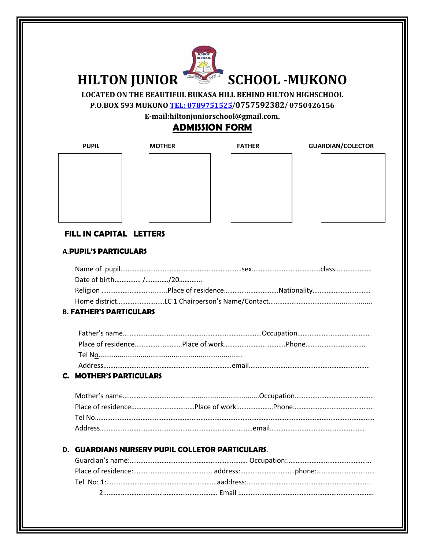

**LOCATED ON THE BEAUTIFUL BUKASA HILL BEHIND HILTON HIGHSCHOOL P.O.BOX 593 MUKONO [TEL: 0789751525](tel:0789751525)**/**0757592382**/ **0750426156**

**E-mail:hiltonjuniorschool@gmail.com.**

# **ADMISSION FORM**

| PUPIL |  |
|-------|--|
|       |  |
|       |  |
|       |  |
|       |  |
|       |  |
|       |  |
|       |  |
|       |  |



| <b>MOTHER</b> | <b>FATHER</b> | <b>GUARDIAN/COLECTOR</b> |
|---------------|---------------|--------------------------|
|               |               |                          |
|               |               |                          |
|               |               |                          |
|               |               |                          |
|               |               |                          |
|               |               |                          |



# **FILL IN CAPITAL LETTERS**

## **A.PUPIL'S PARTICULARS**

#### **B. FATHER'S PARTICULARS**

#### **C. MOTHER'S PARTICULARS**

### **D. GUARDIANS NURSERY PUPIL COLLETOR PARTICULARS**.